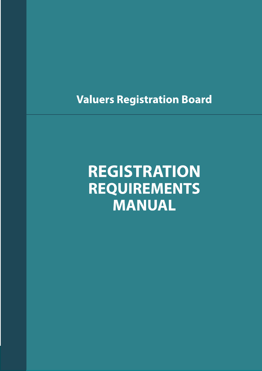<span id="page-0-0"></span>**Valuers Registration Board** 

# **REGISTRATION REQUIREMENTS MANUAL**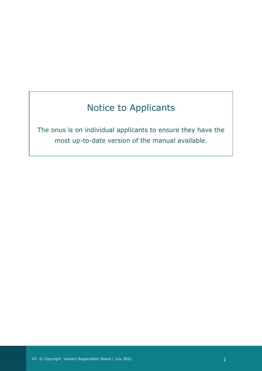## Notice to Applicants

The onus is on individual applicants to ensure they have the most up-to-date version of the manual available.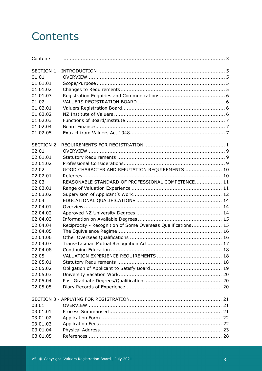## <span id="page-2-0"></span>**Contents**

| Contents |                                                              |  |
|----------|--------------------------------------------------------------|--|
|          |                                                              |  |
| 01.01    |                                                              |  |
| 01.01.01 |                                                              |  |
| 01.01.02 |                                                              |  |
| 01.01.03 |                                                              |  |
| 01.02    |                                                              |  |
| 01.02.01 |                                                              |  |
| 01.02.02 |                                                              |  |
| 01.02.03 |                                                              |  |
| 01.02.04 |                                                              |  |
| 01.02.05 |                                                              |  |
|          |                                                              |  |
| 02.01    |                                                              |  |
| 02.01.01 |                                                              |  |
| 02.01.02 |                                                              |  |
| 02.02    | GOOD CHARACTER AND REPUTATION REQUIREMENTS  10               |  |
| 02.02.01 |                                                              |  |
| 02.03    | REASONABLE STANDARD OF PROFESSIONAL COMPETENCE 11            |  |
| 02.03.01 |                                                              |  |
| 02.03.02 |                                                              |  |
| 02.04    |                                                              |  |
| 02.04.01 |                                                              |  |
| 02.04.02 |                                                              |  |
| 02.04.03 |                                                              |  |
| 02.04.04 | Reciprocity - Recognition of Some Overseas Qualifications 15 |  |
| 02.04.05 |                                                              |  |
| 02.04.06 |                                                              |  |
| 02.04.07 |                                                              |  |
| 02.04.08 |                                                              |  |
| 02.05    |                                                              |  |
| 02.05.01 |                                                              |  |
| 02.05.02 |                                                              |  |
| 02.05.03 |                                                              |  |
| 02.05.04 |                                                              |  |
| 02.05.05 |                                                              |  |
|          |                                                              |  |
| 03.01    |                                                              |  |
| 03.01.01 |                                                              |  |
| 03.01.02 |                                                              |  |
| 03.01.03 |                                                              |  |
| 03.01.04 |                                                              |  |
| 03.01.05 |                                                              |  |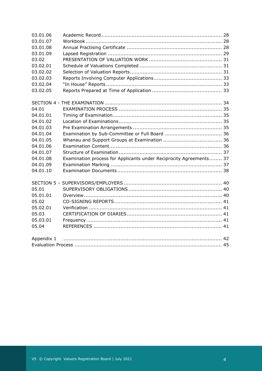| 03.01.06   |                                                                    |  |
|------------|--------------------------------------------------------------------|--|
| 03.01.07   |                                                                    |  |
| 03.01.08   |                                                                    |  |
| 03.01.09   |                                                                    |  |
| 03.02      |                                                                    |  |
| 03.02.01   |                                                                    |  |
| 03.02.02   |                                                                    |  |
| 03.02.03   |                                                                    |  |
| 03.02.04   |                                                                    |  |
| 03.02.05   |                                                                    |  |
|            |                                                                    |  |
| 04.01      |                                                                    |  |
| 04.01.01   |                                                                    |  |
| 04.01.02   |                                                                    |  |
| 04.01.03   |                                                                    |  |
| 04.01.04   |                                                                    |  |
| 04.01.05   |                                                                    |  |
| 04.01.06   |                                                                    |  |
| 04.01.07   |                                                                    |  |
| 04.01.08   | Examination process for Applicants under Reciprocity Agreements 37 |  |
| 04.01.09   |                                                                    |  |
| 04.01.10   |                                                                    |  |
|            |                                                                    |  |
| 05.01      |                                                                    |  |
| 05.01.01   |                                                                    |  |
| 05.02      |                                                                    |  |
| 05.02.01   |                                                                    |  |
| 05.03      |                                                                    |  |
| 05.03.01   |                                                                    |  |
| 05.04      |                                                                    |  |
| Appendix 1 |                                                                    |  |
|            |                                                                    |  |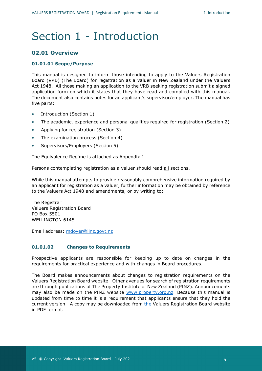## Section 1 - Introduction

### **02.01 Overview**

#### **01.01.01 Scope/Purpose**

This manual is designed to inform those intending to apply to the Valuers Registration Board (VRB) (The Board) for registration as a valuer in New Zealand under the Valuers Act 1948. All those making an application to the VRB seeking registration submit a signed application form on which it states that they have read and complied with this manual. The document also contains notes for an applicant's supervisor/employer. The manual has five parts:

- Introduction (Section 1)
- The academic, experience and personal qualities required for registration (Section 2)
- Applying for registration (Section 3)
- The examination process (Section 4)
- Supervisors/Employers (Section 5)

The Equivalence Regime is attached as Appendix 1

Persons contemplating registration as a valuer should read all sections.

While this manual attempts to provide reasonably comprehensive information required by an applicant for registration as a valuer, further information may be obtained by reference to the Valuers Act 1948 and amendments, or by writing to:

The Registrar Valuers Registration Board PO Box 5501 WELLINGTON 6145

<span id="page-4-0"></span>Email address: [mdoyer@linz.govt.nz](mailto:mdoyer@linz.govt.nz)

#### **01.01.02 Changes to Requirements**

Prospective applicants are responsible for keeping up to date on changes in the requirements for practical experience and with changes in Board procedures.

The Board makes announcements about changes to registration requirements on the Valuers Registration Board website. Other avenues for search of registration requirements are through publications of The Property Institute of New Zealand (PINZ). Announcements may also be made on the PINZ website [www.property.org.nz.](http://www.property.org.nz/) Because this manual is updated from time to time it is a requirement that applicants ensure that they hold the current version. A copy may be downloaded from [the](http://the/) Valuers Registration Board website in PDF format.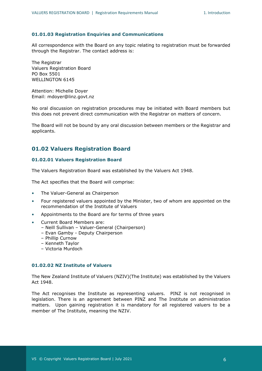#### <span id="page-5-0"></span>**01.01.03 Registration Enquiries and Communications**

All correspondence with the Board on any topic relating to registration must be forwarded through the Registrar. The contact address is:

The Registrar Valuers Registration Board PO Box 5501 WELLINGTON 6145

Attention: Michelle Doyer Email: [mdoyer@linz.govt.nz](mailto:mdoyer@linz.govt.nz)

No oral discussion on registration procedures may be initiated with Board members but this does not prevent direct communication with the Registrar on matters of concern.

The Board will not be bound by any oral discussion between members or the Registrar and applicants.

## <span id="page-5-1"></span>**01.02 Valuers Registration Board**

#### <span id="page-5-2"></span>**01.02.01 Valuers Registration Board**

The Valuers Registration Board was established by the Valuers Act 1948.

The Act specifies that the Board will comprise:

- The Valuer-General as Chairperson
- Four registered valuers appointed by the Minister, two of whom are appointed on the recommendation of the Institute of Valuers
- Appointments to the Board are for terms of three years
- Current Board Members are:
	- Neill Sullivan Valuer-General (Chairperson)
	- Evan Gamby Deputy Chairperson
	- Phillip Curnow
	- Kenneth Taylor
	- Victoria Murdoch

#### <span id="page-5-3"></span>**01.02.02 NZ Institute of Valuers**

The New Zealand Institute of Valuers (NZIV)(The Institute) was established by the Valuers Act 1948.

The Act recognises the Institute as representing valuers. PINZ is not recognised in legislation. There is an agreement between PINZ and The Institute on administration matters. Upon gaining registration it is mandatory for all registered valuers to be a member of The Institute, meaning the NZIV.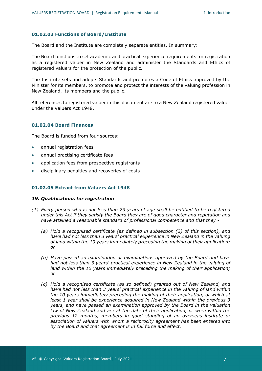#### <span id="page-6-0"></span>**01.02.03 Functions of Board/Institute**

The Board and the Institute are completely separate entities. In summary:

The Board functions to set academic and practical experience requirements for registration as a registered valuer in New Zealand and administer the Standards and Ethics of registered valuers for the protection of the public.

The Institute sets and adopts Standards and promotes a Code of Ethics approved by the Minister for its members, to promote and protect the interests of the valuing profession in New Zealand, its members and the public.

All references to registered valuer in this document are to a New Zealand registered valuer under the Valuers Act 1948.

#### <span id="page-6-1"></span>**01.02.04 Board Finances**

The Board is funded from four sources:

- annual registration fees
- annual practising certificate fees
- application fees from prospective registrants
- disciplinary penalties and recoveries of costs

#### <span id="page-6-2"></span>**01.02.05 Extract from Valuers Act 1948**

#### *19. Qualifications for registration*

- *(1) Every person who is not less than 23 years of age shall be entitled to be registered under this Act if they satisfy the Board they are of good character and reputation and have attained a reasonable standard of professional competence and that they -*
	- *(a) Hold a recognised certificate (as defined in subsection (2) of this section), and have had not less than 3 years' practical experience in New Zealand in the valuing of land within the 10 years immediately preceding the making of their application; or*
	- *(b) Have passed an examination or examinations approved by the Board and have had not less than 3 years' practical experience in New Zealand in the valuing of land within the 10 years immediately preceding the making of their application; or*
	- *(c) Hold a recognised certificate (as so defined) granted out of New Zealand, and have had not less than 3 years' practical experience in the valuing of land within the 10 years immediately preceding the making of their application, of which at least 1 year shall be experience acquired in New Zealand within the previous 3 years, and have passed an examination approved by the Board in the valuation law of New Zealand and are at the date of their application, or were within the previous 12 months, members in good standing of an overseas institute or association of valuers with whom a reciprocity agreement has been entered into by the Board and that agreement is in full force and effect.*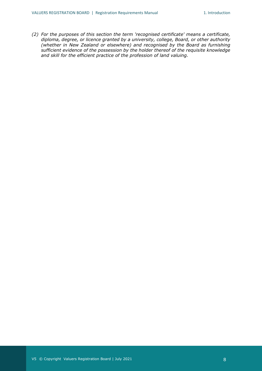*(2) For the purposes of this section the term 'recognised certificate' means a certificate, diploma, degree, or licence granted by a university, college, Board, or other authority (whether in New Zealand or elsewhere) and recognised by the Board as furnishing sufficient evidence of the possession by the holder thereof of the requisite knowledge and skill for the efficient practice of the profession of land valuing.*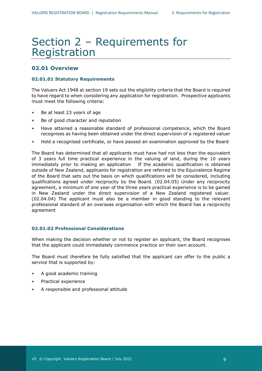## Section 2 – Requirements for Registration

### <span id="page-8-0"></span>**02.01 Overview**

#### <span id="page-8-1"></span>**02.01.01 Statutory Requirements**

The Valuers Act 1948 at section 19 sets out the eligibility criteria that the Board is required to have regard to when considering any application for registration. Prospective applicants must meet the following criteria:

- Be at least 23 years of age
- Be of good character and reputation
- Have attained a reasonable standard of professional competence, which the Board recognises as having been obtained under the direct supervision of a registered valuer
- Hold a recognised certificate, or have passed an examination approved by the Board

The Board has determined that all applicants must have had not less than the equivalent of 3 years full time practical experience in the valuing of land, during the 10 years immediately prior to making an application If the academic qualification is obtained outside of New Zealand, applicants for registration are referred to the Equivalence Regime of the Board that sets out the basis on which qualifications will be considered, including qualifications agreed under reciprocity by the Board. (02.04.05) Under any reciprocity agreement, a minimum of one year of the three years practical experience is to be gained in New Zealand under the direct supervision of a New Zealand registered valuer. (02.04.04) The applicant must also be a member in good standing to the relevant professional standard of an overseas organisation with which the Board has a reciprocity agreement

#### <span id="page-8-2"></span>**02.01.02 Professional Considerations**

When making the decision whether or not to register an applicant, the Board recognises that the applicant could immediately commence practice on their own account.

The Board must therefore be fully satisfied that the applicant can offer to the public a service that is supported by:

- A good academic training
- Practical experience
- A responsible and professional attitude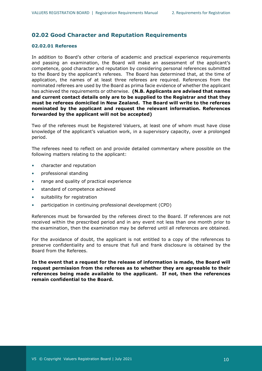## <span id="page-9-0"></span>**02.02 Good Character and Reputation Requirements**

#### <span id="page-9-1"></span>**02.02.01 Referees**

In addition to Board's other criteria of academic and practical experience requirements and passing an examination, the Board will make an assessment of the applicant's competence, good character and reputation by considering personal references submitted to the Board by the applicant's referees. The Board has determined that, at the time of application, the names of at least three referees are required. References from the nominated referees are used by the Board as prima facie evidence of whether the applicant has achieved the requirements or otherwise. **(N.B. Applicants are advised that names and current contact details only are to be supplied to the Registrar and that they must be referees domiciled in New Zealand. The Board will write to the referees nominated by the applicant and request the relevant information. References forwarded by the applicant will not be accepted)**

Two of the referees must be Registered Valuers, at least one of whom must have close knowledge of the applicant's valuation work, in a supervisory capacity, over a prolonged period.

The referees need to reflect on and provide detailed commentary where possible on the following matters relating to the applicant:

- character and reputation
- professional standing
- range and quality of practical experience
- standard of competence achieved
- suitability for registration
- participation in continuing professional development (CPD)

References must be forwarded by the referees direct to the Board. If references are not received within the prescribed period and in any event not less than one month prior to the examination, then the examination may be deferred until all references are obtained.

For the avoidance of doubt, the applicant is not entitled to a copy of the references to preserve confidentiality and to ensure that full and frank disclosure is obtained by the Board from the Referees.

**In the event that a request for the release of information is made, the Board will request permission from the referees as to whether they are agreeable to their references being made available to the applicant. If not, then the references remain confidential to the Board.**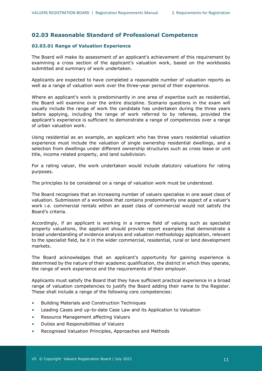## <span id="page-10-0"></span>**02.03 Reasonable Standard of Professional Competence**

#### <span id="page-10-1"></span>**02.03.01 Range of Valuation Experience**

The Board will make its assessment of an applicant's achievement of this requirement by examining a cross section of the applicant's valuation work, based on the workbooks submitted and summary of work undertaken.

Applicants are expected to have completed a reasonable number of valuation reports as well as a range of valuation work over the three-year period of their experience.

Where an applicant's work is predominantly in one area of expertise such as residential, the Board will examine over the entire discipline. Scenario questions in the exam will usually include the range of work the candidate has undertaken during the three years before applying, including the range of work referred to by referees, provided the applicant's experience is sufficient to demonstrate a range of competencies over a range of urban valuation work.

Using residential as an example, an applicant who has three years residential valuation experience must include the valuation of single ownership residential dwellings, and a selection from dwellings under different ownership structures such as cross lease or unit title, income related property, and land subdivision.

For a rating valuer, the work undertaken would include statutory valuations for rating purposes.

The principles to be considered on a range of valuation work must be understood.

The Board recognises that an increasing number of valuers specialise in one asset class of valuation. Submission of a workbook that contains predominantly one aspect of a valuer's work i.e. commercial rentals within an asset class of commercial would not satisfy the Board's criteria.

Accordingly, if an applicant is working in a narrow field of valuing such as specialist property valuations, the applicant should provide report examples that demonstrate a broad understanding of evidence analysis and valuation methodology application, relevant to the specialist field, be it in the wider commercial, residential, rural or land development markets.

The Board acknowledges that an applicant's opportunity for gaining experience is determined by the nature of their academic qualification, the district in which they operate, the range of work experience and the requirements of their employer.

Applicants must satisfy the Board that they have sufficient practical experience in a broad range of valuation competencies to justify the Board adding their name to the Register. These shall include a range of the following core competencies:

- Building Materials and Construction Techniques
- Leading Cases and up-to-date Case Law and its Application to Valuation
- Resource Management affecting Valuers
- Duties and Responsibilities of Valuers
- Recognised Valuation Principles, Approaches and Methods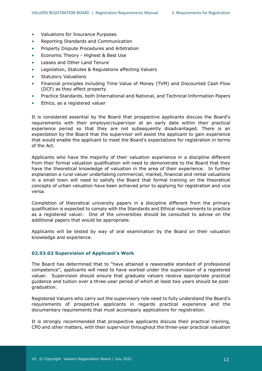- Valuations for Insurance Purposes
- Reporting Standards and Communication
- Property Dispute Procedures and Arbitration
- Economic Theory Highest & Best Use
- Leases and Other Land Tenure
- Legislation, Statutes & Regulations affecting Valuers
- Statutory Valuations
- Financial principles including Time Value of Money (TVM) and Discounted Cash Flow (DCF) as they affect property
- Practice Standards, both International and National, and Technical Information Papers
- Ethics, as a registered valuer

It is considered essential by the Board that prospective applicants discuss the Board's requirements with their employer/supervisor at an early date within their practical experience period so that they are not subsequently disadvantaged. There is an expectation by the Board that the supervisor will assist the applicant to gain experience that would enable the applicant to meet the Board's expectations for registration in terms of the Act.

Applicants who have the majority of their valuation experience in a discipline different from their formal valuation qualification will need to demonstrate to the Board that they have the theoretical knowledge of valuation in the area of their experience. In further explanation a rural valuer undertaking commercial, market, financial and rental valuations in a small town will need to satisfy the Board that formal training on the theoretical concepts of urban valuation have been achieved prior to applying for registration and vice versa.

Completion of theoretical university papers in a discipline different from the primary qualification is expected to comply with the Standards and Ethical requirements to practice as a registered valuer. One of the universities should be consulted to advise on the additional papers that would be appropriate.

Applicants will be tested by way of oral examination by the Board on their valuation knowledge and experience.

#### <span id="page-11-0"></span>**02.03.02 Supervision of Applicant's Work**

The Board has determined that to "have attained a reasonable standard of professional competence", applicants will need to have worked under the supervision of a registered valuer. Supervision should ensure that graduate valuers receive appropriate practical guidance and tuition over a three-year period of which at least two years should be postgraduation.

Registered Valuers who carry out the supervisory role need to fully understand the Board's requirements of prospective applicants in regards practical experience and the documentary requirements that must accompany applications for registration.

It is strongly recommended that prospective applicants discuss their practical training, CPD and other matters, with their supervisor throughout the three-year practical valuation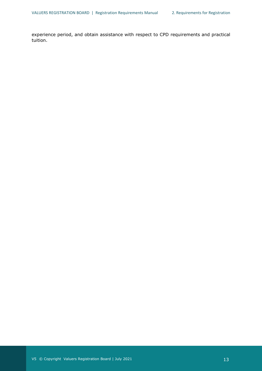experience period, and obtain assistance with respect to CPD requirements and practical tuition.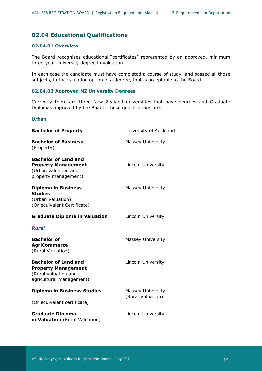## <span id="page-13-0"></span>**02.04 Educational Qualifications**

### <span id="page-13-1"></span>**02.04.01 Overview**

The Board recognises educational "certificates" represented by an approved, minimum three-year University degree in valuation.

In each case the candidate must have completed a course of study, and passed all those subjects, in the valuation option of a degree, that is acceptable to the Board.

#### <span id="page-13-2"></span>**02.04.02 Approved NZ University Degrees**

Currently there are three New Zealand universities that have degrees and Graduate Diplomas approved by the Board. These qualifications are:

#### *Urban*

| <b>Bachelor of Property</b>                                                                                   | University of Auckland                        |
|---------------------------------------------------------------------------------------------------------------|-----------------------------------------------|
| <b>Bachelor of Business</b><br>(Property)                                                                     | <b>Massey University</b>                      |
| <b>Bachelor of Land and</b><br><b>Property Management</b><br>(Urban valuation and<br>property management)     | Lincoln University                            |
| <b>Diploma in Business</b><br><b>Studies</b><br>(Urban Valuation)<br>(Or equivalent Certificate)              | <b>Massey University</b>                      |
| <b>Graduate Diploma in Valuation</b>                                                                          | Lincoln University                            |
| Rural                                                                                                         |                                               |
| <b>Bachelor of</b><br><b>AgriCommerce</b><br>(Rural Valuation)                                                | Massey University                             |
| <b>Bachelor of Land and</b><br><b>Property Management</b><br>(Rural valuation and<br>agricultural management) | Lincoln University                            |
| <b>Diploma in Business Studies</b>                                                                            | <b>Massey University</b><br>(Rural Valuation) |
| (Or equivalent certificate)                                                                                   |                                               |
| <b>Graduate Diploma</b><br>in Valuation (Rural Valuation)                                                     | Lincoln University                            |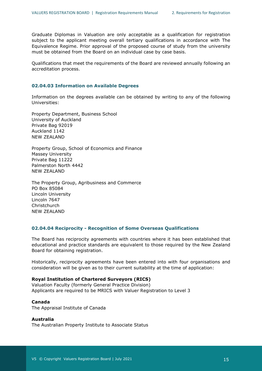Graduate Diplomas in Valuation are only acceptable as a qualification for registration subject to the applicant meeting overall tertiary qualifications in accordance with The Equivalence Regime. Prior approval of the proposed course of study from the university must be obtained from the Board on an individual case by case basis.

Qualifications that meet the requirements of the Board are reviewed annually following an accreditation process.

#### <span id="page-14-0"></span>**02.04.03 Information on Available Degrees**

Information on the degrees available can be obtained by writing to any of the following Universities:

Property Department, Business School University of Auckland Private Bag 92019 Auckland 1142 NEW ZEALAND

Property Group, School of Economics and Finance Massey University Private Bag 11222 Palmerston North 4442 NEW ZEALAND

The Property Group, Agribusiness and Commerce PO Box 85084 Lincoln University Lincoln 7647 **Christchurch** NEW ZEALAND

#### <span id="page-14-1"></span>**02.04.04 Reciprocity - Recognition of Some Overseas Qualifications**

The Board has reciprocity agreements with countries where it has been established that educational and practice standards are equivalent to those required by the New Zealand Board for obtaining registration.

Historically, reciprocity agreements have been entered into with four organisations and consideration will be given as to their current suitability at the time of application:

#### **Royal Institution of Chartered Surveyors (RICS)**

Valuation Faculty (formerly General Practice Division) Applicants are required to be MRICS with Valuer Registration to Level 3

#### **Canada**

The Appraisal Institute of Canada

#### **Australia**

The Australian Property Institute to Associate Status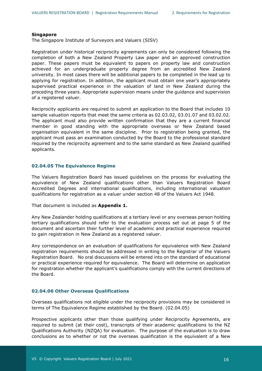#### **Singapore**

The Singapore Institute of Surveyors and Valuers (SISV)

Registration under historical reciprocity agreements can only be considered following the completion of both a New Zealand Property Law paper and an approved construction paper. These papers must be equivalent to papers on property law and construction achieved for an undergraduate property degree from an accredited New Zealand university. In most cases there will be additional papers to be completed in the lead up to applying for registration. In addition, the applicant must obtain one year's appropriately supervised practical experience in the valuation of land in New Zealand during the preceding three years. Appropriate supervision means under the guidance and supervision of a registered valuer.

Reciprocity applicants are required to submit an application to the Board that includes 10 sample valuation reports that meet the same criteria as 02.03.02, 03.01.07 and 03.02.02. The applicant must also provide written confirmation that they are a current financial member in good standing with the appropriate overseas or New Zealand based organisation equivalent in the same discipline. Prior to registration being granted, the applicant must pass an examination conducted by the Board to the professional standard required by the reciprocity agreement and to the same standard as New Zealand qualified applicants.

#### <span id="page-15-0"></span>**02.04.05 The Equivalence Regime**

The Valuers Registration Board has issued guidelines on the process for evaluating the equivalence of New Zealand qualifications other than Valuers Registration Board Accredited Degrees and international qualifications, including international valuation qualifications for registration as a valuer under section 48 of the Valuers Act 1948.

That document is included as **Appendix 1.**

Any New Zealander holding qualifications at a tertiary level or any overseas person holding tertiary qualifications should refer to the evaluation process set out at page 5 of the document and ascertain their further level of academic and practical experience required to gain registration in New Zealand as a registered valuer.

Any correspondence on an evaluation of qualifications for equivalence with New Zealand registration requirements should be addressed in writing to the Registrar of the Valuers Registration Board. No oral discussions will be entered into on the standard of educational or practical experience required for equivalence. The Board will determine on application for registration whether the applicant's qualifications comply with the current directions of the Board.

#### <span id="page-15-1"></span>**02.04.06 Other Overseas Qualifications**

Overseas qualifications not eligible under the reciprocity provisions may be considered in terms of The Equivalence Regime established by the Board. (02.04.05)

Prospective applicants other than those qualifying under Reciprocity Agreements, are required to submit (at their cost), transcripts of their academic qualifications to the NZ Qualifications Authority (NZQA) for evaluation. The purpose of the evaluation is to draw conclusions as to whether or not the overseas qualification is the equivalent of a New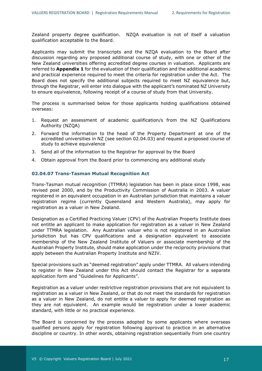Zealand property degree qualification. NZQA evaluation is not of itself a valuation qualification acceptable to the Board.

Applicants may submit the transcripts and the NZQA evaluation to the Board after discussion regarding any proposed additional course of study, with one or other of the New Zealand universities offering accredited degree courses in valuation. Applicants are referred to **Appendix 1** for the evaluation of their qualification and the additional academic and practical experience required to meet the criteria for registration under the Act. The Board does not specify the additional subjects required to meet NZ equivalence but, through the Registrar, will enter into dialogue with the applicant's nominated NZ University to ensure equivalence, following receipt of a course of study from that University.

The process is summarised below for those applicants holding qualifications obtained overseas:

- 1. Request an assessment of academic qualification/s from the NZ Qualifications Authority (NZQA)
- 2. Forward the information to the head of the Property Department at one of the accredited universities in NZ (see section 02.04.03) and request a proposed course of study to achieve equivalence
- 3. Send all of the information to the Registrar for approval by the Board
- 4. Obtain approval from the Board prior to commencing any additional study

#### <span id="page-16-0"></span>**02.04.07 Trans-Tasman Mutual Recognition Act**

Trans-Tasman mutual recognition (TTMRA) legislation has been in place since 1998, was revised post 2000, and by the Productivity Commission of Australia in 2003. A valuer registered in an equivalent occupation in an Australian jurisdiction that maintains a valuer registration regime (currently Queensland and Western Australia), may apply for registration as a valuer in New Zealand.

Designation as a Certified Practicing Valuer (CPV) of the Australian Property Institute does not entitle an applicant to make application for registration as a valuer in New Zealand under TTMRA legislation. Any Australian valuer who is not registered in an Australian jurisdiction but has CPV qualifications and a designation equivalent to associate membership of the New Zealand Institute of Valuers or associate membership of the Australian Property Institute, should make application under the reciprocity provisions that apply between the Australian Property Institute and NZIV.

Special provisions such as "deemed registration" apply under TTMRA. All valuers intending to register in New Zealand under this Act should contact the Registrar for a separate application form and "Guidelines for Applicants".

Registration as a valuer under restrictive registration provisions that are not equivalent to registration as a valuer in New Zealand, or that do not meet the standards for registration as a valuer in New Zealand, do not entitle a valuer to apply for deemed registration as they are not equivalent. An example would be registration under a lower academic standard, with little or no practical experience.

The Board is concerned by the process adopted by some applicants where overseas qualified persons apply for registration following approval to practice in an alternative discipline or country. In other words, obtaining registration sequentially from one country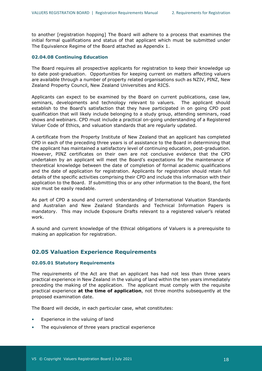to another [registration hopping] The Board will adhere to a process that examines the initial formal qualifications and status of that applicant which must be submitted under The Equivalence Regime of the Board attached as Appendix 1.

#### <span id="page-17-0"></span>**02.04.08 Continuing Education**

The Board requires all prospective applicants for registration to keep their knowledge up to date post-graduation. Opportunities for keeping current on matters affecting valuers are available through a number of property related organisations such as NZIV, PINZ, New Zealand Property Council, New Zealand Universities and RICS.

Applicants can expect to be examined by the Board on current publications, case law, seminars, developments and technology relevant to valuers. The applicant should establish to the Board's satisfaction that they have participated in on going CPD post qualification that will likely include belonging to a study group, attending seminars, road shows and webinars. CPD must include a practical on-going understanding of a Registered Valuer Code of Ethics, and valuation standards that are regularly updated.

A certificate from the Property Institute of New Zealand that an applicant has completed CPD in each of the preceding three years is of assistance to the Board in determining that the applicant has maintained a satisfactory level of continuing education, post-graduation. However, PINZ certificates on their own are not conclusive evidence that the CPD undertaken by an applicant will meet the Board's expectations for the maintenance of theoretical knowledge between the date of completion of formal academic qualifications and the date of application for registration. Applicants for registration should retain full details of the specific activities comprising their CPD and include this information with their application to the Board. If submitting this or any other information to the Board, the font size must be easily readable.

As part of CPD a sound and current understanding of International Valuation Standards and Australian and New Zealand Standards and Technical Information Papers is mandatory. This may include Exposure Drafts relevant to a registered valuer's related work.

A sound and current knowledge of the Ethical obligations of Valuers is a prerequisite to making an application for registration.

### <span id="page-17-1"></span>**02.05 Valuation Experience Requirements**

#### <span id="page-17-2"></span>**02.05.01 Statutory Requirements**

The requirements of the Act are that an applicant has had not less than three years practical experience in New Zealand in the valuing of land within the ten years immediately preceding the making of the application. The applicant must comply with the requisite practical experience **at the time of application**, not three months subsequently at the proposed examination date.

The Board will decide, in each particular case, what constitutes:

- Experience in the valuing of land
- The equivalence of three years practical experience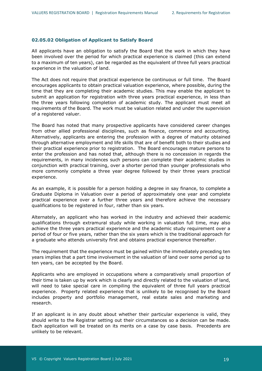#### <span id="page-18-0"></span>**02.05.02 Obligation of Applicant to Satisfy Board**

All applicants have an obligation to satisfy the Board that the work in which they have been involved over the period for which practical experience is claimed (this can extend to a maximum of ten years), can be regarded as the equivalent of three full years practical experience in the valuation of land.

The Act does not require that practical experience be continuous or full time. The Board encourages applicants to obtain practical valuation experience, where possible, during the time that they are completing their academic studies. This may enable the applicant to submit an application for registration with three years practical experience, in less than the three years following completion of academic study. The applicant must meet all requirements of the Board. The work must be valuation related and under the supervision of a registered valuer.

The Board has noted that many prospective applicants have considered career changes from other allied professional disciplines, such as finance, commerce and accounting. Alternatively, applicants are entering the profession with a degree of maturity obtained through alternative employment and life skills that are of benefit both to their studies and their practical experience prior to registration. The Board encourages mature persons to enter the profession and has noted that, although there is no concession in regards the requirements, in many incidences such persons can complete their academic studies in conjunction with practical training, over a shorter period than younger professionals who more commonly complete a three year degree followed by their three years practical experience.

As an example, it is possible for a person holding a degree in say finance, to complete a Graduate Diploma in Valuation over a period of approximately one year and complete practical experience over a further three years and therefore achieve the necessary qualifications to be registered in four, rather than six years.

Alternately, an applicant who has worked in the industry and achieved their academic qualifications through extramural study while working in valuation full time, may also achieve the three years practical experience and the academic study requirement over a period of four or five years, rather than the six years which is the traditional approach for a graduate who attends university first and obtains practical experience thereafter.

The requirement that the experience must be gained within the immediately preceding ten years implies that a part time involvement in the valuation of land over some period up to ten years, can be accepted by the Board.

Applicants who are employed in occupations where a comparatively small proportion of their time is taken up by work which is clearly and directly related to the valuation of land, will need to take special care in compiling the equivalent of three full years practical experience. Property related experience that is unlikely to be recognised by the Board includes property and portfolio management, real estate sales and marketing and research.

If an applicant is in any doubt about whether their particular experience is valid, they should write to the Registrar setting out their circumstances so a decision can be made. Each application will be treated on its merits on a case by case basis. Precedents are unlikely to be relevant.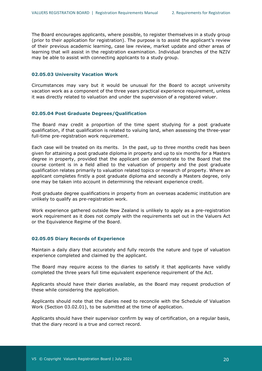The Board encourages applicants, where possible, to register themselves in a study group (prior to their application for registration). The purpose is to assist the applicant's review of their previous academic learning, case law review, market update and other areas of learning that will assist in the registration examination. Individual branches of the NZIV may be able to assist with connecting applicants to a study group.

#### <span id="page-19-0"></span>**02.05.03 University Vacation Work**

Circumstances may vary but it would be unusual for the Board to accept university vacation work as a component of the three years practical experience requirement, unless it was directly related to valuation and under the supervision of a registered valuer.

#### <span id="page-19-1"></span>**02.05.04 Post Graduate Degrees/Qualification**

The Board may credit a proportion of the time spent studying for a post graduate qualification, if that qualification is related to valuing land, when assessing the three-year full-time pre-registration work requirement.

Each case will be treated on its merits. In the past, up to three months credit has been given for attaining a post graduate diploma in property and up to six months for a Masters degree in property, provided that the applicant can demonstrate to the Board that the course content is in a field allied to the valuation of property and the post graduate qualification relates primarily to valuation related topics or research of property. Where an applicant completes firstly a post graduate diploma and secondly a Masters degree, only one may be taken into account in determining the relevant experience credit.

Post graduate degree qualifications in property from an overseas academic institution are unlikely to qualify as pre-registration work.

Work experience gathered outside New Zealand is unlikely to apply as a pre-registration work requirement as it does not comply with the requirements set out in the Valuers Act or the Equivalence Regime of the Board.

#### <span id="page-19-2"></span>**02.05.05 Diary Records of Experience**

Maintain a daily diary that accurately and fully records the nature and type of valuation experience completed and claimed by the applicant.

The Board may require access to the diaries to satisfy it that applicants have validly completed the three years full time equivalent experience requirement of the Act.

Applicants should have their diaries available, as the Board may request production of these while considering the application.

Applicants should note that the diaries need to reconcile with the Schedule of Valuation Work (Section 03.02.01), to be submitted at the time of application.

Applicants should have their supervisor confirm by way of certification, on a regular basis, that the diary record is a true and correct record.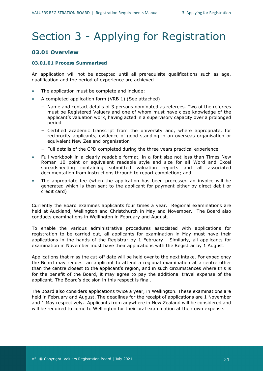## <span id="page-20-0"></span>Section 3 - Applying for Registration

#### <span id="page-20-1"></span>**03.01 Overview**

#### <span id="page-20-2"></span>**03.01.01 Process Summarised**

An application will not be accepted until all prerequisite qualifications such as age, qualification and the period of experience are achieved.

- The application must be complete and include:
- A completed application form (VRB 1) (See attached)
	- Name and contact details of 3 persons nominated as referees. Two of the referees must be Registered Valuers and one of whom must have close knowledge of the applicant's valuation work, having acted in a supervisory capacity over a prolonged period
	- Certified academic transcript from the university and, where appropriate, for reciprocity applicants, evidence of good standing in an overseas organisation or equivalent New Zealand organisation
	- Full details of the CPD completed during the three years practical experience
- Full workbook in a clearly readable format, in a font size not less than Times New Roman 10 point or equivalent readable style and size for all Word and Excel spreadsheeting containing submitted valuation reports and all associated documentation from instructions through to report completion; and
- The appropriate fee (when the application has been processed an invoice will be generated which is then sent to the applicant for payment either by direct debit or credit card)

Currently the Board examines applicants four times a year. Regional examinations are held at Auckland, Wellington and Christchurch in May and November. The Board also conducts examinations in Wellington in February and August.

To enable the various administrative procedures associated with applications for registration to be carried out, all applicants for examination in May must have their applications in the hands of the Registrar by 1 February. Similarly, all applicants for examination in November must have their applications with the Registrar by 1 August.

Applications that miss the cut-off date will be held over to the next intake. For expediency the Board may request an applicant to attend a regional examination at a centre other than the centre closest to the applicant's region, and in such circumstances where this is for the benefit of the Board, it may agree to pay the additional travel expense of the applicant. The Board's decision in this respect is final.

The Board also considers applications twice a year, in Wellington. These examinations are held in February and August. The deadlines for the receipt of applications are 1 November and 1 May respectively. Applicants from anywhere in New Zealand will be considered and will be required to come to Wellington for their oral examination at their own expense.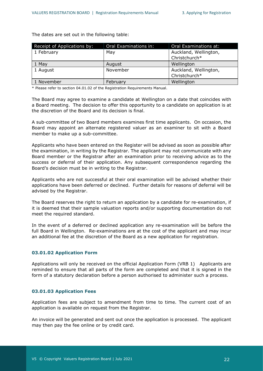The dates are set out in the following table:

| Receipt of Applications by: | Oral Examinations in: | Oral Examinations at:                  |
|-----------------------------|-----------------------|----------------------------------------|
| 1 February                  | May                   | Auckland, Wellington,<br>Christchurch* |
| 1 May                       | August                | Wellington                             |
| 1 August                    | November              | Auckland, Wellington,<br>Christchurch* |
| 1 November                  | February              | Wellington                             |

\* Please refer to section 04.01.02 of the Registration Requirements Manual.

The Board may agree to examine a candidate at Wellington on a date that coincides with a Board meeting. The decision to offer this opportunity to a candidate on application is at the discretion of the Board and its decision is final.

A sub-committee of two Board members examines first time applicants. On occasion, the Board may appoint an alternate registered valuer as an examiner to sit with a Board member to make up a sub-committee.

Applicants who have been entered on the Register will be advised as soon as possible after the examination, in writing by the Registrar. The applicant may not communicate with any Board member or the Registrar after an examination prior to receiving advice as to the success or deferral of their application. Any subsequent correspondence regarding the Board's decision must be in writing to the Registrar.

Applicants who are not successful at their oral examination will be advised whether their applications have been deferred or declined. Further details for reasons of deferral will be advised by the Registrar.

The Board reserves the right to return an application by a candidate for re-examination, if it is deemed that their sample valuation reports and/or supporting documentation do not meet the required standard.

In the event of a deferred or declined application any re-examination will be before the full Board in Wellington. Re-examinations are at the cost of the applicant and may incur an additional fee at the discretion of the Board as a new application for registration.

#### <span id="page-21-0"></span>**03.01.02 Application Form**

Applications will only be received on the official Application Form (VRB 1) Applicants are reminded to ensure that all parts of the form are completed and that it is signed in the form of a statutory declaration before a person authorised to administer such a process.

#### <span id="page-21-1"></span>**03.01.03 Application Fees**

Application fees are subject to amendment from time to time. The current cost of an application is available on request from the Registrar.

An invoice will be generated and sent out once the application is processed. The applicant may then pay the fee online or by credit card.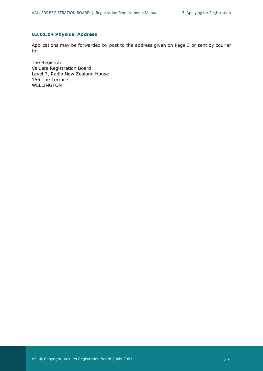#### <span id="page-22-0"></span>**03.01.04 Physical Address**

Applications may be forwarded by post to the address given on Page 3 or sent by courier to:

The Registrar Valuers Registration Board Level 7, Radio New Zealand House 155 The Terrace WELLINGTON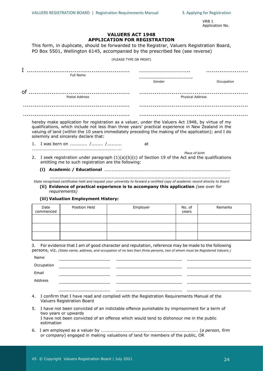VRB 1 Application No.

#### **VALUERS ACT 1948 APPLICATION FOR REGISTRATION**

This form, in duplicate, should be forwarded to the Registrar, Valuers Registration Board, PO Box 5501, Wellington 6145, accompanied by the prescribed fee (see reverse)

(PLEASE TYPE OR PRINT)

| Full Name            |                         |  |  |
|----------------------|-------------------------|--|--|
|                      | <br>Gender              |  |  |
| of<br>Postal Address | <b>Physical Address</b> |  |  |
|                      |                         |  |  |
|                      |                         |  |  |

hereby make application for registration as a valuer, under the Valuers Act 1948, by virtue of my qualifications, which include not less than three years' practical experience in New Zealand in the valuing of land (within the 10 years immediately preceding the making of the application); and I do solemnly and sincerely declare that:

1. I was born on ............ /........ /.......... at

- *Place of birth* 2. I seek registration under paragraph  $(1)(a)(b)(c)$  of Section 19 of the Act and the qualifications entitling me to such registration are the following:
	- **(i) Academic / Educational** ........................................................................................

.............................................................................................................................. *State recognised certificates held and request your university to forward a certified copy of academic record directly to Board*

**(ii) Evidence of practical experience is to accompany this application** *(see over for requirements)*

#### **(iii) Valuation Employment History:**

…………………………………………………………………… ...

| Date<br>commenced | Position Held | Employer | No. of<br>years | Remarks |
|-------------------|---------------|----------|-----------------|---------|
|                   |               |          |                 |         |
|                   |               |          |                 |         |
|                   |               |          |                 |         |

3. For evidence that I am of good character and reputation, reference may be made to the following persons, viz. *(State name, address, and occupation of no less than three persons, two of whom must be Registered Valuers.)*

| Name       |  |  |
|------------|--|--|
| Occupation |  |  |
| Email      |  |  |
| Address    |  |  |
|            |  |  |

- 4. I confirm that I have read and complied with the Registration Requirements Manual of the Valuers Registration Board
- 5. I have not been convicted of an indictable offence punishable by imprisonment for a term of two years or upwards I have not been convicted of an offence which would tend to dishonour me in the public estimation
- 6. I am employed as a valuer by ……………………………………………………………………………… (*a person, firm or company*) engaged in making valuations of land for members of the public, OR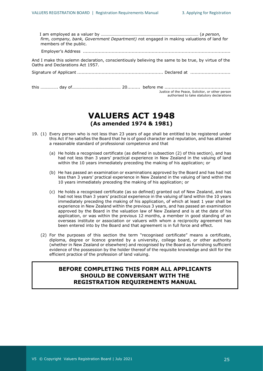| firm, company, bank, Government Department) not engaged in making valuations of land for<br>members of the public.                      |                                                                                               |
|-----------------------------------------------------------------------------------------------------------------------------------------|-----------------------------------------------------------------------------------------------|
|                                                                                                                                         |                                                                                               |
| And I make this solemn declaration, conscientiously believing the same to be true, by virtue of the<br>Oaths and Declarations Act 1957. |                                                                                               |
|                                                                                                                                         |                                                                                               |
|                                                                                                                                         | Justice of the Peace, Solicitor, or other person<br>authorised to take statutory declarations |

## **VALUERS ACT 1948 (As amended 1974 & 1981)**

- 19. (1) Every person who is not less than 23 years of age shall be entitled to be registered under this Act if he satisfies the Board that he is of good character and reputation, and has attained a reasonable standard of professional competence and that
	- (a) He holds a recognised certificate (as defined in subsection (2) of this section), and has had not less than 3 years' practical experience in New Zealand in the valuing of land within the 10 years immediately preceding the making of his application; or
	- (b) He has passed an examination or examinations approved by the Board and has had not less than 3 years' practical experience in New Zealand in the valuing of land within the 10 years immediately preceding the making of his application; or
	- (c) He holds a recognised certificate (as so defined) granted out of New Zealand, and has had not less than 3 years' practical experience in the valuing of land within the 10 years immediately preceding the making of his application, of which at least 1 year shall be experience in New Zealand within the previous 3 years, and has passed an examination approved by the Board in the valuation law of New Zealand and is at the date of his application, or was within the previous 12 months, a member in good standing of an overseas institute or association or valuers with whom a reciprocity agreement has been entered into by the Board and that agreement is in full force and effect.
	- (2) For the purposes of this section the term "recognised certificate" means a certificate, diploma, degree or licence granted by a university, college board, or other authority (whether in New Zealand or elsewhere) and recognised by the Board as furnishing sufficient evidence of the possession by the holder thereof of the requisite knowledge and skill for the efficient practice of the profession of land valuing.

## **BEFORE COMPLETING THIS FORM ALL APPLICANTS SHOULD BE CONVERSANT WITH THE REGISTRATION REQUIREMENTS MANUAL**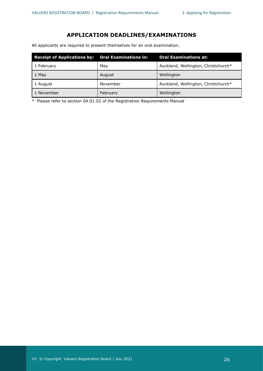## **APPLICATION DEADLINES/EXAMINATIONS**

All applicants are required to present themselves for an oral examination.

| <b>Receipt of Applications by: Oral Examinations in:</b> |          | <b>Oral Examinations at:</b>        |  |  |
|----------------------------------------------------------|----------|-------------------------------------|--|--|
| 1 February                                               | May      | Auckland, Wellington, Christchurch* |  |  |
| 1 May                                                    | August   | Wellington                          |  |  |
| 1 August                                                 | November | Auckland, Wellington, Christchurch* |  |  |
| 1 November                                               | February | Wellington                          |  |  |

\* Please refer to section 04.01.02 of the Registration Requirements Manual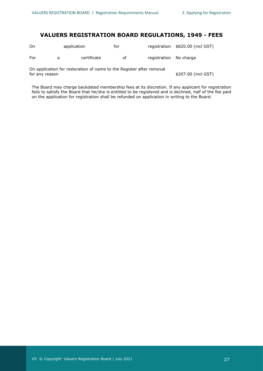### **VALUERS REGISTRATION BOARD REGULATIONS, 1949 - FEES**

| On  | application | for |                        | registration \$820.00 (incl GST) |  |
|-----|-------------|-----|------------------------|----------------------------------|--|
| For | certificate | оf  | registration No charge |                                  |  |
|     |             |     |                        |                                  |  |

On application for restoration of name to the Register after removal for any reason  $$207.00$  (incl GST)

The Board may charge backdated membership fees at its discretion. If any applicant for registration fails to satisfy the Board that he/she is entitled to be registered and is declined, half of the fee paid on the application for registration shall be refunded on application in writing to the Board.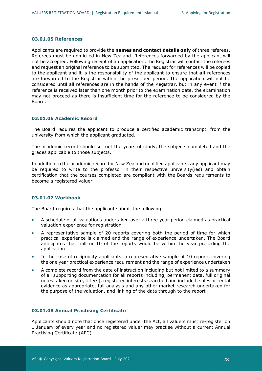#### <span id="page-27-0"></span>**03.01.05 References**

Applicants are required to provide the **names and contact details only** of three referees. Referees must be domiciled in New Zealand. References forwarded by the applicant will not be accepted. Following receipt of an application, the Registrar will contact the referees and request an original reference to be submitted. The request for references will be copied to the applicant and it is the responsibility of the applicant to ensure that **all** references are forwarded to the Registrar within the prescribed period. The application will not be considered until all references are in the hands of the Registrar, but in any event if the reference is received later than one month prior to the examination date, the examination may not proceed as there is insufficient time for the reference to be considered by the Board.

#### <span id="page-27-1"></span>**03.01.06 Academic Record**

The Board requires the applicant to produce a certified academic transcript, from the university from which the applicant graduated.

The academic record should set out the years of study, the subjects completed and the grades applicable to those subjects.

In addition to the academic record for New Zealand qualified applicants, any applicant may be required to write to the professor in their respective university(ies) and obtain certification that the courses completed are compliant with the Boards requirements to become a registered valuer.

#### <span id="page-27-2"></span>**03.01.07 Workbook**

The Board requires that the applicant submit the following:

- A schedule of all valuations undertaken over a three year period claimed as practical valuation experience for registration
- A representative sample of 20 reports covering both the period of time for which practical experience is claimed and the range of experience undertaken. The Board anticipates that half or 10 of the reports would be within the year preceding the application
- In the case of reciprocity applicants, a representative sample of 10 reports covering the one year practical experience requirement and the range of experience undertaken
- A complete record from the date of instruction including but not limited to a summary of all supporting documentation for all reports including, permanent data, full original notes taken on site, title(s), registered interests searched and included, sales or rental evidence as appropriate, full analysis and any other market research undertaken for the purpose of the valuation, and linking of the data through to the report

#### <span id="page-27-3"></span>**03.01.08 Annual Practising Certificate**

Applicants should note that once registered under the Act, all valuers must re-register on 1 January of every year and no registered valuer may practise without a current Annual Practising Certificate (APC).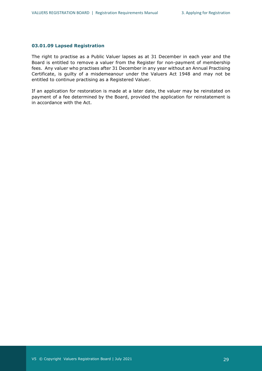#### <span id="page-28-0"></span>**03.01.09 Lapsed Registration**

The right to practise as a Public Valuer lapses as at 31 December in each year and the Board is entitled to remove a valuer from the Register for non-payment of membership fees. Any valuer who practises after 31 December in any year without an Annual Practising Certificate, is guilty of a misdemeanour under the Valuers Act 1948 and may not be entitled to continue practising as a Registered Valuer.

If an application for restoration is made at a later date, the valuer may be reinstated on payment of a fee determined by the Board, provided the application for reinstatement is in accordance with the Act.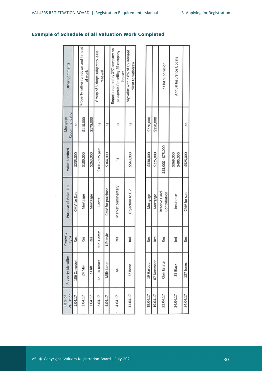## **Example of Schedule of all Valuation Work Completed**

| Other Comments             |              | Property rather run down and in need<br>of work |           | Group of 5 shops subject to lease<br>renewal |                  | Report required by XYZ company on<br>prospects for selling 25 company<br>houses | My value within 8% of GV advised<br>client to withdraw |  |
|----------------------------|--------------|-------------------------------------------------|-----------|----------------------------------------------|------------------|---------------------------------------------------------------------------------|--------------------------------------------------------|--|
| Recommendation<br>Mortgage | nа           | \$110,000                                       | \$175,000 | na                                           | na               | na                                                                              | na                                                     |  |
| Value Ascribed             | \$235,000    | \$180,000                                       | \$263,000 | \$100 - 125 psm                              | \$364,000        | na                                                                              | \$563,000                                              |  |
| Purpose of Valuation       | CMV for Sale | Mortgage                                        | Mortgage  | Rental                                       | CMV for purchase | Market commentary                                                               | Objection to GV                                        |  |
| Property<br>Type           | Res          | Res                                             | Res       | Sub. Comm                                    | Lifestyle        | Res                                                                             | $\sum_{i=1}^{n}$                                       |  |
| Property Identifier        | 106 Campbell | 24 Mail                                         | 3 Cliff   | 12 - 14 James                                | Mills Lane       | na                                                                              | 23 Bone                                                |  |
| Valuation<br>Date of       | 1.04.17      | 1.04.17                                         | 1.04.17   | 2.04.17                                      | 4.04.17          | 4.04.17                                                                         | 11.04.17                                               |  |

G)

|            |            | 23 lot subdivision           | Annual Insurance Update |              |
|------------|------------|------------------------------|-------------------------|--------------|
| \$220,000  | \$150,000  |                              |                         |              |
| \$330,000  | \$225,000  | \$53,000 - \$75,000          | \$369,000               | \$525,000    |
| Mortgage   | Mortgage   | Reserve Fund<br>Contribution | Insurance               | CMV for sale |
| Res        | Res        | Res                          | $\sum_{i=1}^{n}$        | Res          |
| 19 Harbour | 87 Donmoor | Clair Estate                 | 35 Black                | 137 Jones    |
| 19.04.17   | 19.04.17   | 22.04.17                     | 24.04.17                | 24.04.17     |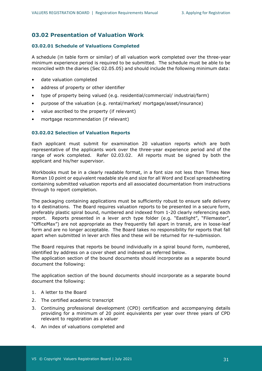## <span id="page-30-0"></span>**03.02 Presentation of Valuation Work**

#### <span id="page-30-1"></span>**03.02.01 Schedule of Valuations Completed**

A schedule (in table form or similar) of all valuation work completed over the three-year minimum experience period is required to be submitted. The schedule must be able to be reconciled with the diaries (Sec 02.05.05) and should include the following minimum data:

- date valuation completed
- address of property or other identifier
- type of property being valued (e.g. residential/commercial/ industrial/farm)
- purpose of the valuation (e.g. rental/market/ mortgage/asset/insurance)
- value ascribed to the property (if relevant)
- mortgage recommendation (if relevant)

#### <span id="page-30-2"></span>**03.02.02 Selection of Valuation Reports**

Each applicant must submit for examination 20 valuation reports which are both representative of the applicants work over the three-year experience period and of the range of work completed. Refer 02.03.02. All reports must be signed by both the applicant and his/her supervisor.

Workbooks must be in a clearly readable format, in a font size not less than Times New Roman 10 point or equivalent readable style and size for all Word and Excel spreadsheeting containing submitted valuation reports and all associated documentation from instructions through to report completion.

The packaging containing applications must be sufficiently robust to ensure safe delivery to 4 destinations. The Board requires valuation reports to be presented in a secure form, preferably plastic spiral bound, numbered and indexed from 1-20 clearly referencing each report. Reports presented in a lever arch type folder (e.g. "Eastlight", "Filemaster", "OfficeMax") are not appropriate as they frequently fall apart in transit, are in loose-leaf form and are no longer acceptable. The Board takes no responsibility for reports that fall apart when submitted in lever arch files and these will be returned for re-submission.

The Board requires that reports be bound individually in a spiral bound form, numbered, identified by address on a cover sheet and indexed as referred below.

The application section of the bound documents should incorporate as a separate bound document the following:

The application section of the bound documents should incorporate as a separate bound document the following:

- 1. A letter to the Board
- 2. The certified academic transcript
- 3. Continuing professional development (CPD) certification and accompanying details providing for a minimum of 20 point equivalents per year over three years of CPD relevant to registration as a valuer
- 4. An index of valuations completed and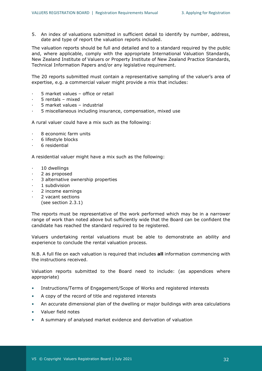5. An index of valuations submitted in sufficient detail to identify by number, address, date and type of report the valuation reports included.

The valuation reports should be full and detailed and to a standard required by the public and, where applicable, comply with the appropriate International Valuation Standards, New Zealand Institute of Valuers or Property Institute of New Zealand Practice Standards, Technical Information Papers and/or any legislative requirement.

The 20 reports submitted must contain a representative sampling of the valuer's area of expertise, e.g. a commercial valuer might provide a mix that includes:

- 5 market values office or retail
- · 5 rentals mixed
- · 5 market values industrial
- · 5 miscellaneous including insurance, compensation, mixed use

A rural valuer could have a mix such as the following:

- · 8 economic farm units
- 6 lifestyle blocks
- · 6 residential

A residential valuer might have a mix such as the following:

- 10 dwellings
- 2 as proposed
- 3 alternative ownership properties
- 1 subdivision
- · 2 income earnings
- · 2 vacant sections
- (see section 2.3.1)

The reports must be representative of the work performed which may be in a narrower range of work than noted above but sufficiently wide that the Board can be confident the candidate has reached the standard required to be registered.

Valuers undertaking rental valuations must be able to demonstrate an ability and experience to conclude the rental valuation process.

N.B. A full file on each valuation is required that includes **all** information commencing with the instructions received.

Valuation reports submitted to the Board need to include: (as appendices where appropriate)

- Instructions/Terms of Engagement/Scope of Works and registered interests
- A copy of the record of title and registered interests
- An accurate dimensional plan of the dwelling or major buildings with area calculations
- Valuer field notes
- A summary of analysed market evidence and derivation of valuation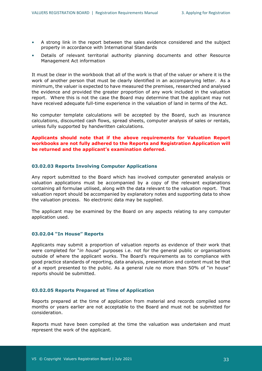- A strong link in the report between the sales evidence considered and the subject property in accordance with International Standards
- Details of relevant territorial authority planning documents and other Resource Management Act information

It must be clear in the workbook that all of the work is that of the valuer or where it is the work of another person that must be clearly identified in an accompanying letter. As a minimum, the valuer is expected to have measured the premises, researched and analysed the evidence and provided the greater proportion of any work included in the valuation report. Where this is not the case the Board may determine that the applicant may not have received adequate full-time experience in the valuation of land in terms of the Act.

No computer template calculations will be accepted by the Board, such as insurance calculations, discounted cash flows, spread sheets, computer analysis of sales or rentals, unless fully supported by handwritten calculations.

#### **Applicants should note that if the above requirements for Valuation Report workbooks are not fully adhered to the Reports and Registration Application will be returned and the applicant's examination deferred.**

#### <span id="page-32-0"></span>**03.02.03 Reports Involving Computer Applications**

Any report submitted to the Board which has involved computer generated analysis or valuation applications must be accompanied by a copy of the relevant explanations containing all formulae utilised, along with the data relevant to the valuation report. That valuation report should be accompanied by explanatory notes and supporting data to show the valuation process. No electronic data may be supplied.

The applicant may be examined by the Board on any aspects relating to any computer application used.

#### <span id="page-32-1"></span>**03.02.04 "In House" Reports**

Applicants may submit a proportion of valuation reports as evidence of their work that were completed for "*in house*" purposes i.e. not for the general public or organisations outside of where the applicant works. The Board's requirements as to compliance with good practice standards of reporting, data analysis, presentation and content must be that of a report presented to the public. As a general rule no more than 50% of "in house" reports should be submitted.

#### <span id="page-32-2"></span>**03.02.05 Reports Prepared at Time of Application**

Reports prepared at the time of application from material and records compiled some months or years earlier are not acceptable to the Board and must not be submitted for consideration.

Reports must have been compiled at the time the valuation was undertaken and must represent the work of the applicant.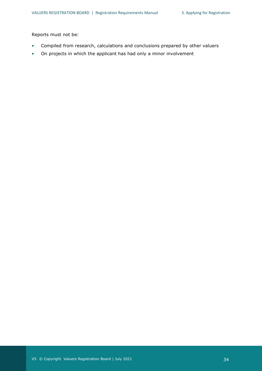Reports must not be:

- Compiled from research, calculations and conclusions prepared by other valuers
- On projects in which the applicant has had only a minor involvement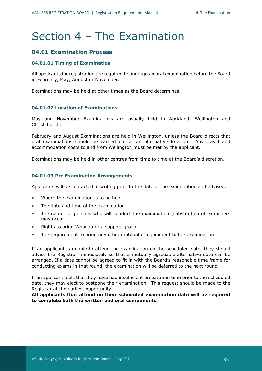## Section 4 – The Examination

### <span id="page-34-0"></span>**04.01 Examination Process**

#### <span id="page-34-1"></span>**04.01.01 Timing of Examination**

All applicants for registration are required to undergo an oral examination before the Board in February, May, August or November.

Examinations may be held at other times as the Board determines.

#### <span id="page-34-2"></span>**04.01.02 Location of Examinations**

May and November Examinations are usually held in Auckland, Wellington and Christchurch.

February and August Examinations are held in Wellington, unless the Board directs that oral examinations should be carried out at an alternative location. Any travel and accommodation costs to and from Wellington must be met by the applicant.

Examinations may be held in other centres from time to time at the Board's discretion.

#### <span id="page-34-3"></span>**04.01.03 Pre Examination Arrangements**

Applicants will be contacted in writing prior to the date of the examination and advised:

- Where the examination is to be held
- The date and time of the examination
- The names of persons who will conduct the examination (substitution of examiners may occur)
- Rights to bring Whanau or a support group
- The requirement to bring any other material or equipment to the examination

If an applicant is unable to attend the examination on the scheduled date, they should advise the Registrar immediately so that a mutually agreeable alternative date can be arranged. If a date cannot be agreed to fit in with the Board's reasonable time frame for conducting exams in that round, the examination will be deferred to the next round.

If an applicant feels that they have had insufficient preparation time prior to the scheduled date, they may elect to postpone their examination. This request should be made to the Registrar at the earliest opportunity.

**All applicants that attend on their scheduled examination date will be required to complete both the written and oral components.**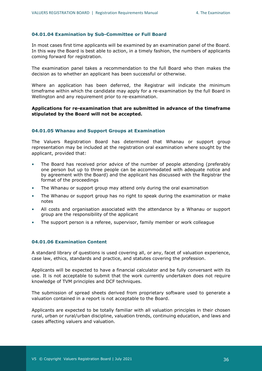#### <span id="page-35-0"></span>**04.01.04 Examination by Sub-Committee or Full Board**

In most cases first time applicants will be examined by an examination panel of the Board. In this way the Board is best able to action, in a timely fashion, the numbers of applicants coming forward for registration.

The examination panel takes a recommendation to the full Board who then makes the decision as to whether an applicant has been successful or otherwise.

Where an application has been deferred, the Registrar will indicate the minimum timeframe within which the candidate may apply for a re-examination by the full Board in Wellington and any requirement prior to re-examination.

#### **Applications for re-examination that are submitted in advance of the timeframe stipulated by the Board will not be accepted.**

#### <span id="page-35-1"></span>**04.01.05 Whanau and Support Groups at Examination**

The Valuers Registration Board has determined that Whanau or support group representation may be included at the registration oral examination where sought by the applicant, provided that:

- The Board has received prior advice of the number of people attending (preferably one person but up to three people can be accommodated with adequate notice and by agreement with the Board) and the applicant has discussed with the Registrar the format of the proceedings
- The Whanau or support group may attend only during the oral examination
- The Whanau or support group has no right to speak during the examination or make notes
- All costs and organisation associated with the attendance by a Whanau or support group are the responsibility of the applicant
- The support person is a referee, supervisor, family member or work colleague

#### <span id="page-35-2"></span>**04.01.06 Examination Content**

A standard library of questions is used covering all, or any, facet of valuation experience, case law, ethics, standards and practice, and statutes covering the profession.

Applicants will be expected to have a financial calculator and be fully conversant with its use. It is not acceptable to submit that the work currently undertaken does not require knowledge of TVM principles and DCF techniques.

The submission of spread sheets derived from proprietary software used to generate a valuation contained in a report is not acceptable to the Board.

Applicants are expected to be totally familiar with all valuation principles in their chosen rural, urban or rural/urban discipline, valuation trends, continuing education, and laws and cases affecting valuers and valuation.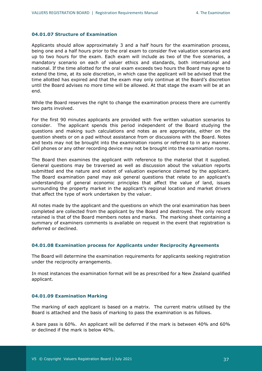#### <span id="page-36-0"></span>**04.01.07 Structure of Examination**

Applicants should allow approximately 3 and a half hours for the examination process, being one and a half hours prior to the oral exam to consider five valuation scenarios and up to two hours for the exam. Each exam will include as two of the five scenarios, a mandatory scenario on each of valuer ethics and standards, both international and national. If the time allotted for the oral exam exceeds two hours the Board may agree to extend the time, at its sole discretion, in which case the applicant will be advised that the time allotted has expired and that the exam may only continue at the Board's discretion until the Board advises no more time will be allowed. At that stage the exam will be at an end.

While the Board reserves the right to change the examination process there are currently two parts involved.

For the first 90 minutes applicants are provided with five written valuation scenarios to consider. The applicant spends this period independent of the Board studying the questions and making such calculations and notes as are appropriate, either on the question sheets or on a pad without assistance from or discussions with the Board. Notes and texts may not be brought into the examination rooms or referred to in any manner. Cell phones or any other recording device may not be brought into the examination rooms.

The Board then examines the applicant with reference to the material that it supplied. General questions may be traversed as well as discussion about the valuation reports submitted and the nature and extent of valuation experience claimed by the applicant. The Board examination panel may ask general questions that relate to an applicant's understanding of general economic principles that affect the value of land, issues surrounding the property market in the applicant's regional location and market drivers that affect the type of work undertaken by the valuer.

All notes made by the applicant and the questions on which the oral examination has been completed are collected from the applicant by the Board and destroyed. The only record retained is that of the Board members notes and marks. The marking sheet containing a summary of examiners comments is available on request in the event that registration is deferred or declined.

#### <span id="page-36-1"></span>**04.01.08 Examination process for Applicants under Reciprocity Agreements**

The Board will determine the examination requirements for applicants seeking registration under the reciprocity arrangements.

In most instances the examination format will be as prescribed for a New Zealand qualified applicant.

#### <span id="page-36-2"></span>**04.01.09 Examination Marking**

The marking of each applicant is based on a matrix. The current matrix utilised by the Board is attached and the basis of marking to pass the examination is as follows.

A bare pass is 60%. An applicant will be deferred if the mark is between 40% and 60% or declined if the mark is below 40%.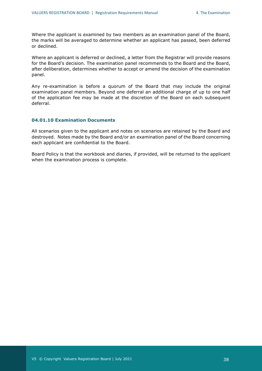Where the applicant is examined by two members as an examination panel of the Board, the marks will be averaged to determine whether an applicant has passed, been deferred or declined.

Where an applicant is deferred or declined, a letter from the Registrar will provide reasons for the Board's decision. The examination panel recommends to the Board and the Board, after deliberation, determines whether to accept or amend the decision of the examination panel.

Any re-examination is before a quorum of the Board that may include the original examination panel members. Beyond one deferral an additional charge of up to one half of the application fee may be made at the discretion of the Board on each subsequent deferral.

#### <span id="page-37-0"></span>**04.01.10 Examination Documents**

All scenarios given to the applicant and notes on scenarios are retained by the Board and destroyed. Notes made by the Board and/or an examination panel of the Board concerning each applicant are confidential to the Board.

Board Policy is that the workbook and diaries, if provided, will be returned to the applicant when the examination process is complete.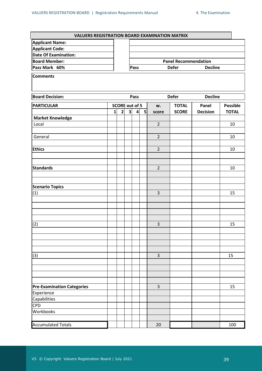| <b>VALUERS REGISTRATION BOARD EXAMINATION MATRIX</b> |                       |                         |                                        |                 |    |                |              |                 |              |  |  |  |
|------------------------------------------------------|-----------------------|-------------------------|----------------------------------------|-----------------|----|----------------|--------------|-----------------|--------------|--|--|--|
| <b>Applicant Name:</b>                               |                       |                         |                                        |                 |    |                |              |                 |              |  |  |  |
| <b>Applicant Code:</b>                               |                       |                         |                                        |                 |    |                |              |                 |              |  |  |  |
| <b>Date Of Examination:</b>                          |                       |                         |                                        |                 |    |                |              |                 |              |  |  |  |
| <b>Board Member:</b>                                 |                       |                         | <b>Panel Recommendation</b>            |                 |    |                |              |                 |              |  |  |  |
| Pass Mark 60%                                        |                       |                         | <b>Defer</b><br><b>Decline</b><br>Pass |                 |    |                |              |                 |              |  |  |  |
| <b>Comments</b>                                      |                       |                         |                                        |                 |    |                |              |                 |              |  |  |  |
| <b>Board Decision:</b>                               | Pass                  |                         |                                        | <b>Defer</b>    |    | <b>Decline</b> |              |                 |              |  |  |  |
| <b>PARTICULAR</b>                                    | <b>SCORE out of 5</b> |                         |                                        |                 | w. | <b>TOTAL</b>   | Panel        | <b>Possible</b> |              |  |  |  |
|                                                      | $\mathbf{1}$          | $\overline{\mathbf{2}}$ | $\overline{\mathbf{3}}$                | $\vert 4 \vert$ | 5  | score          | <b>SCORE</b> | <b>Decision</b> | <b>TOTAL</b> |  |  |  |
| <b>Market Knowledge</b>                              |                       |                         |                                        |                 |    |                |              |                 |              |  |  |  |
| Local                                                |                       |                         |                                        |                 |    | $\overline{2}$ |              |                 | 10           |  |  |  |
| General                                              |                       |                         |                                        |                 |    | $\overline{2}$ |              |                 | 10           |  |  |  |
| <b>Ethics</b>                                        |                       |                         |                                        |                 |    | $\overline{2}$ |              |                 | 10           |  |  |  |
|                                                      |                       |                         |                                        |                 |    |                |              |                 |              |  |  |  |
| Standards                                            |                       |                         |                                        |                 |    | $\overline{2}$ |              |                 | 10           |  |  |  |
|                                                      |                       |                         |                                        |                 |    |                |              |                 |              |  |  |  |
| <b>Scenario Topics</b>                               |                       |                         |                                        |                 |    |                |              |                 |              |  |  |  |
| (1)                                                  |                       |                         |                                        |                 |    | $\overline{3}$ |              |                 | 15           |  |  |  |
|                                                      |                       |                         |                                        |                 |    |                |              |                 |              |  |  |  |
|                                                      |                       |                         |                                        |                 |    |                |              |                 |              |  |  |  |
| (2)                                                  |                       |                         |                                        |                 |    | 3              |              |                 | 15           |  |  |  |
|                                                      |                       |                         |                                        |                 |    |                |              |                 |              |  |  |  |
|                                                      |                       |                         |                                        |                 |    |                |              |                 |              |  |  |  |
| (3)                                                  |                       |                         |                                        |                 |    | $\overline{3}$ |              |                 | 15           |  |  |  |
|                                                      |                       |                         |                                        |                 |    |                |              |                 |              |  |  |  |
|                                                      |                       |                         |                                        |                 |    |                |              |                 |              |  |  |  |
| <b>Pre-Examination Categories</b>                    |                       |                         |                                        |                 |    | $\mathsf 3$    |              |                 | 15           |  |  |  |
| Experience                                           |                       |                         |                                        |                 |    |                |              |                 |              |  |  |  |
| Capabilities                                         |                       |                         |                                        |                 |    |                |              |                 |              |  |  |  |
| <b>CPD</b>                                           |                       |                         |                                        |                 |    |                |              |                 |              |  |  |  |
| Workbooks                                            |                       |                         |                                        |                 |    |                |              |                 |              |  |  |  |
| <b>Accumulated Totals</b>                            |                       |                         |                                        |                 |    | 20             |              |                 | 100          |  |  |  |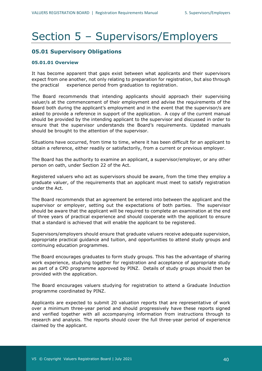## <span id="page-39-0"></span>Section 5 – Supervisors/Employers

## <span id="page-39-1"></span>**05.01 Supervisory Obligations**

#### <span id="page-39-2"></span>**05.01.01 Overview**

It has become apparent that gaps exist between what applicants and their supervisors expect from one another, not only relating to preparation for registration, but also through the practical experience period from graduation to registration.

The Board recommends that intending applicants should approach their supervising valuer/s at the commencement of their employment and advise the requirements of the Board both during the applicant's employment and in the event that the supervisor/s are asked to provide a reference in support of the application. A copy of the current manual should be provided by the intending applicant to the supervisor and discussed in order to ensure that the supervisor understands the Board's requirements. Updated manuals should be brought to the attention of the supervisor.

Situations have occurred, from time to time, where it has been difficult for an applicant to obtain a reference, either readily or satisfactorily, from a current or previous employer.

The Board has the authority to examine an applicant, a supervisor/employer, or any other person on oath, under Section 22 of the Act.

Registered valuers who act as supervisors should be aware, from the time they employ a graduate valuer, of the requirements that an applicant must meet to satisfy registration under the Act.

The Board recommends that an agreement be entered into between the applicant and the supervisor or employer, setting out the expectations of both parties. The supervisor should be aware that the applicant will be required to complete an examination at the end of three years of practical experience and should cooperate with the applicant to ensure that a standard is achieved that will enable the applicant to be registered.

Supervisors/employers should ensure that graduate valuers receive adequate supervision, appropriate practical guidance and tuition, and opportunities to attend study groups and continuing education programmes.

The Board encourages graduates to form study groups. This has the advantage of sharing work experience, studying together for registration and acceptance of appropriate study as part of a CPD programme approved by PINZ. Details of study groups should then be provided with the application.

The Board encourages valuers studying for registration to attend a Graduate Induction programme coordinated by PINZ.

Applicants are expected to submit 20 valuation reports that are representative of work over a minimum three-year period and should progressively have these reports signed and verified together with all accompanying information from instructions through to research and analysis. The reports should cover the full three-year period of experience claimed by the applicant.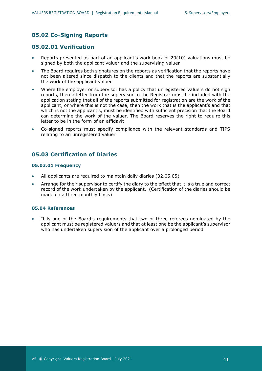## <span id="page-40-0"></span>**05.02 Co-Signing Reports**

### <span id="page-40-1"></span>**05.02.01 Verification**

- Reports presented as part of an applicant's work book of 20(10) valuations must be signed by both the applicant valuer and the supervising valuer
- The Board requires both signatures on the reports as verification that the reports have not been altered since dispatch to the clients and that the reports are substantially the work of the applicant valuer
- Where the employer or supervisor has a policy that unregistered valuers do not sign reports, then a letter from the supervisor to the Registrar must be included with the application stating that all of the reports submitted for registration are the work of the applicant, or where this is not the case, then the work that is the applicant's and that which is not the applicant's, must be identified with sufficient precision that the Board can determine the work of the valuer. The Board reserves the right to require this letter to be in the form of an affidavit
- Co-signed reports must specify compliance with the relevant standards and TIPS relating to an unregistered valuer

## <span id="page-40-2"></span>**05.03 Certification of Diaries**

#### <span id="page-40-3"></span>**05.03.01 Frequency**

- All applicants are required to maintain daily diaries (02.05.05)
- Arrange for their supervisor to certify the diary to the effect that it is a true and correct record of the work undertaken by the applicant. (Certification of the diaries should be made on a three monthly basis)

#### <span id="page-40-4"></span>**05.04 References**

It is one of the Board's requirements that two of three referees nominated by the applicant must be registered valuers and that at least one be the applicant's supervisor who has undertaken supervision of the applicant over a prolonged period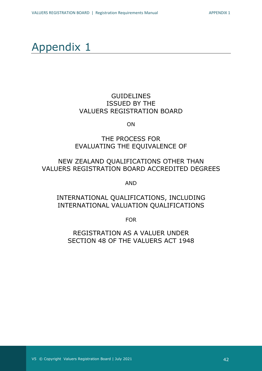## <span id="page-41-0"></span>Appendix 1

## **GUIDELINES** ISSUED BY THE VALUERS REGISTRATION BOARD

ON

## THE PROCESS FOR EVALUATING THE EQUIVALENCE OF

## NEW ZEALAND QUALIFICATIONS OTHER THAN VALUERS REGISTRATION BOARD ACCREDITED DEGREES

AND

## INTERNATIONAL QUALIFICATIONS, INCLUDING INTERNATIONAL VALUATION QUALIFICATIONS

FOR

REGISTRATION AS A VALUER UNDER SECTION 48 OF THE VALUERS ACT 1948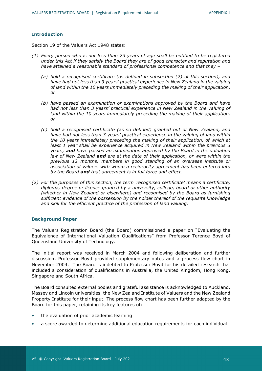#### **Introduction**

Section 19 of the Valuers Act 1948 states:

- *(1) Every person who is not less than 23 years of age shall be entitled to be registered under this Act if they satisfy the Board they are of good character and reputation and have attained a reasonable standard of professional competence and that they –*
	- *(a) hold a recognised certificate (as defined in subsection (2) of this section), and*  have had not less than 3 years' practical experience in New Zealand in the valuing *of land within the 10 years immediately preceding the making of their application, or*
	- *(b) have passed an examination or examinations approved by the Board and have had not less than 3 years' practical experience in New Zealand in the valuing of land within the 10 years immediately preceding the making of their application, or*
	- *(c) hold a recognised certificate (as so defined) granted out of New Zealand, and have had not less than 3 years' practical experience in the valuing of land within the 10 years immediately preceding the making of their application, of which at least 1 year shall be experience acquired in New Zealand within the previous 3 years, and have passed an examination approved by the Board in the valuation law of New Zealand and are at the date of their application, or were within the previous 12 months, members in good standing of an overseas institute or association of valuers with whom a reciprocity agreement has been entered into by the Board and that agreement is in full force and effect.*
- *(2) For the purposes of this section, the term 'recognised certificate' means a certificate, diploma, degree or licence granted by a university, college, board or other authority (whether in New Zealand or elsewhere) and recognised by the Board as furnishing sufficient evidence of the possession by the holder thereof of the requisite knowledge and skill for the efficient practice of the profession of land valuing.*

#### **Background Paper**

The Valuers Registration Board (the Board) commissioned a paper on "Evaluating the Equivalence of International Valuation Qualifications" from Professor Terence Boyd of Queensland University of Technology.

The initial report was received in March 2004 and following deliberation and further discussion, Professor Boyd provided supplementary notes and a process flow chart in November 2004. The Board is indebted to Professor Boyd for his detailed research that included a consideration of qualifications in Australia, the United Kingdom, Hong Kong, Singapore and South Africa.

The Board consulted external bodies and grateful assistance is acknowledged to Auckland, Massey and Lincoln universities, the New Zealand Institute of Valuers and the New Zealand Property Institute for their input. The process flow chart has been further adapted by the Board for this paper, retaining its key features of:

- the evaluation of prior academic learning
- a score awarded to determine additional education requirements for each individual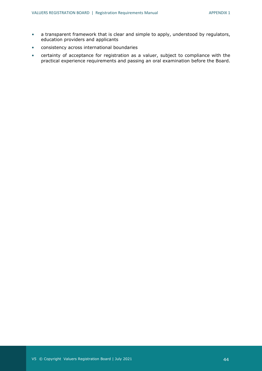- a transparent framework that is clear and simple to apply, understood by regulators, education providers and applicants
- consistency across international boundaries
- certainty of acceptance for registration as a valuer, subject to compliance with the practical experience requirements and passing an oral examination before the Board.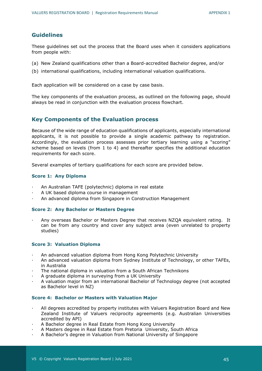## **Guidelines**

These guidelines set out the process that the Board uses when it considers applications from people with:

- (a) New Zealand qualifications other than a Board-accredited Bachelor degree, and/or
- (b) international qualifications, including international valuation qualifications.

Each application will be considered on a case by case basis.

The key components of the evaluation process, as outlined on the following page, should always be read in conjunction with the evaluation process flowchart.

### **Key Components of the Evaluation process**

Because of the wide range of education qualifications of applicants, especially international applicants, it is not possible to provide a single academic pathway to registration. Accordingly, the evaluation process assesses prior tertiary learning using a "scoring" scheme based on levels (from 1 to 4) and thereafter specifies the additional education requirements for each score.

Several examples of tertiary qualifications for each score are provided below.

#### **Score 1: Any Diploma**

- · An Australian TAFE (polytechnic) diploma in real estate
- · A UK based diploma course in management
- · An advanced diploma from Singapore in Construction Management

#### **Score 2: Any Bachelor or Masters Degree**

· Any overseas Bachelor or Masters Degree that receives NZQA equivalent rating. It can be from any country and cover any subject area (even unrelated to property studies)

#### **Score 3: Valuation Diploma**

- · An advanced valuation diploma from Hong Kong Polytechnic University
- · An advanced valuation diploma from Sydney Institute of Technology, or other TAFEs, in Australia
- The national diploma in valuation from a South African Technikons
- A graduate diploma in surveying from a UK University
- · A valuation major from an international Bachelor of Technology degree (not accepted as Bachelor level in NZ)

#### **Score 4: Bachelor or Masters with Valuation Major**

- All degrees accredited by property institutes with Valuers Registration Board and New Zealand Institute of Valuers reciprocity agreements (e.g. Australian Universities accredited by API)
- A Bachelor degree in Real Estate from Hong Kong University
- · A Masters degree in Real Estate from Pretoria University, South Africa
- · A Bachelor's degree in Valuation from National University of Singapore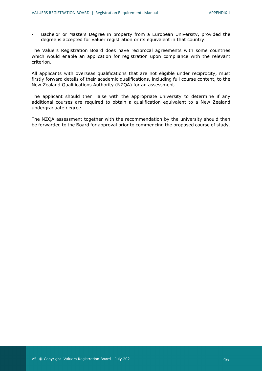· Bachelor or Masters Degree in property from a European University, provided the degree is accepted for valuer registration or its equivalent in that country.

The Valuers Registration Board does have reciprocal agreements with some countries which would enable an application for registration upon compliance with the relevant criterion.

All applicants with overseas qualifications that are not eligible under reciprocity, must firstly forward details of their academic qualifications, including full course content, to the New Zealand Qualifications Authority (NZQA) for an assessment.

The applicant should then liaise with the appropriate university to determine if any additional courses are required to obtain a qualification equivalent to a New Zealand undergraduate degree.

The NZQA assessment together with the recommendation by the university should then be forwarded to the Board for approval prior to commencing the proposed course of study.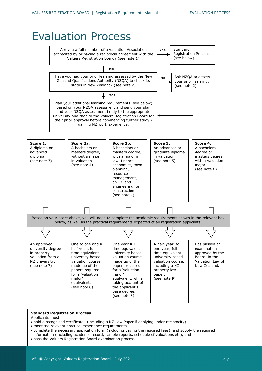#### Evaluation ProcessStandard Are you a full member of a Valuation Association **Yes** Registration Process accredited by or having a reciprocal agreement with the (see below) Valuers Registration Board? (see note 1) **No** Have you had your prior learning assessed by the New Ask NZQA to assess **No** Zealand Qualifications Authority (NZQA) to check its your prior learning. status in New Zealand? (see note 2) (see note 2) **Yes** Plan your additional learning requirements (see below) based on your NZQA assessment and send your plan and your NZQA assessment firstly to the appropriate university and then to the Valuers Registration Board for their prior approval before commencing further study / gaining NZ work experience. **Score 1: Score 2a: Score 2b: Score 3: Score 4:** A bachelors A diploma or A bachelors or A bachelors or An advanced or advanced masters degree, masters degree, graduate diploma degree or masters degree diploma without a major with a major in in valuation. (see note 3) in valuation. law, finance, (see note 5) with a valuation (see note 4) economics, town major. planning, (see note 6) resource management, civil / land engineering, or construction. (see note 4) Based on your score above, you will need to complete the academic requirements shown in the relevant box below, as well as the practical requirements expected of all registration applicants. Τ Τ Τ Τ Ц A half-year, to An approved One to one and a One year full Has passed an one year, full university degree half years full time equivalent examination in property time equivalent university based time equivalent approved by the valuation from a university based valuation course, university based Board, in the NZ university. valuation course, Valuation Law of made up of the valuation course, (see note 7) made up of the papers required including a NZ New Zealand. property law papers required for a 'valuation for a 'valuation major' paper. major' equivalent, while (see note 9) equivalent. taking account of (see note 8) the applicant's base degree. (see note 8)

#### **Standard Registration Process.**

Applicants must:

- hold a recognised certificate, (including a NZ Law Paper if applying under reciprocity)
- meet the relevant practical experience requirements,
- complete the necessary application form (including paying the required fees), and supply the required information (including academic record, sample reports, schedule of valuations etc), and • pass the Valuers Registration Board examination process.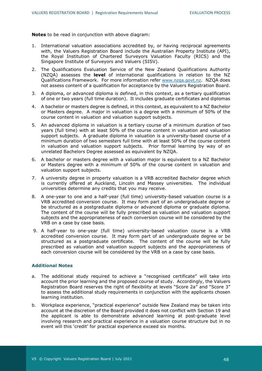**Notes** to be read in conjunction with above diagram:

- 1. International valuation associations accredited by, or having reciprocal agreements with, the Valuers Registration Board include the Australian Property Institute (API), the Royal Institution of Chartered Surveyors Valuation Faculty (RICS) and the Singapore Institute of Surveyors and Valuers (SISV).
- 2. The Qualifications Evaluation Service of the New Zealand Qualifications Authority (NZQA) assesses the **level** of international qualifications in relation to the NZ Qualifications Framework. For more information refer [www.nzqa.govt.nz.](http://www.nzqa.govt.nz/) NZQA does not assess content of a qualification for acceptance by the Valuers Registration Board.
- 3. A diploma, or advanced diploma is defined, in this context, as a tertiary qualification of one or two years (full time duration). It includes graduate certificates and diplomas
- 4. A bachelor or masters degree is defined, in this context, as equivalent to a NZ Bachelor or Masters degree. A major in valuation is a degree with a minimum of 50% of the course content in valuation and valuation support subjects.
- 5. An advanced diploma in valuation is a tertiary course of a minimum duration of two years (full time) with at least 50% of the course content in valuation and valuation support subjects. A graduate diploma in valuation is a university-based course of a minimum duration of two semesters full time with at least 50% of the course content in valuation and valuation support subjects. Prior formal learning by way of an unrelated Bachelors Degree assessed as equivalent by NZQA.
- 6. A bachelor or masters degree with a valuation major is equivalent to a NZ Bachelor or Masters degree with a minimum of 50% of the course content in valuation and valuation support subjects.
- 7. A university degree in property valuation is a VRB accredited Bachelor degree which is currently offered at Auckland, Lincoln and Massey universities. The individual universities determine any credits that you may receive.
- 8. A one-year to one and a half-year (full time) university-based valuation course is a VRB accredited conversion course. It may form part of an undergraduate degree or be structured as a postgraduate diploma or advanced diploma or graduate diploma. The content of the course will be fully prescribed as valuation and valuation support subjects and the appropriateness of each conversion course will be considered by the VRB on a case by case basis.
- 9. A half-year to one-year (full time) university-based valuation course is a VRB accredited conversion course. It may form part of an undergraduate degree or be structured as a postgraduate certificate. The content of the course will be fully prescribed as valuation and valuation support subjects and the appropriateness of each conversion course will be considered by the VRB on a case by case basis.

#### **Additional Notes**

- a. The additional study required to achieve a "recognised certificate" will take into account the prior learning and the proposed course of study. Accordingly, the Valuers Registration Board reserves the right of flexibility at levels "Score 2a" and "Score 3" to assess the additional study requirements in conjunction with the applicants chosen learning institution.
- b. Workplace experience, "practical experience" outside New Zealand may be taken into account at the discretion of the Board provided it does not conflict with Section 19 and the applicant is able to demonstrate advanced learning at post-graduate level involving research and practical experience in a valuation course structure but in no event will this 'credit' for practical experience exceed six months.